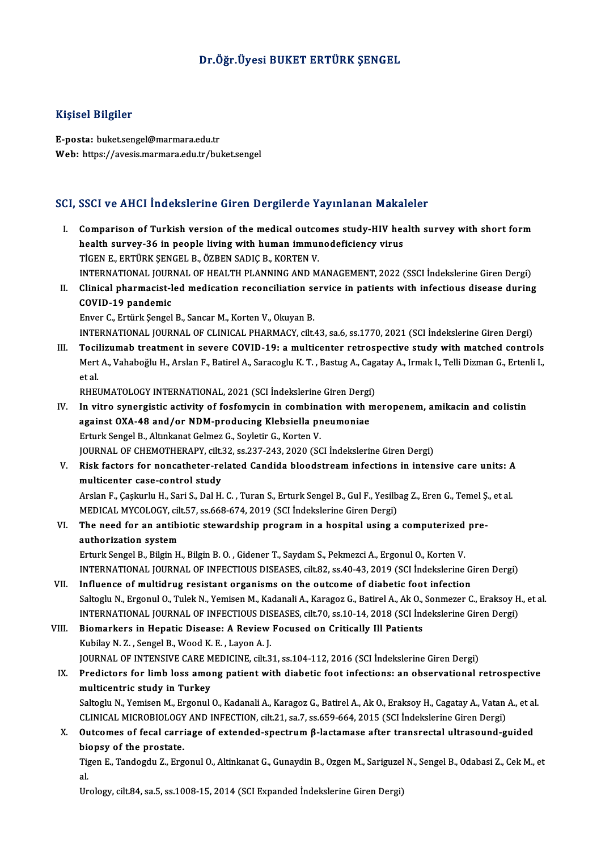## Dr.Öğr.Üyesi BUKET ERTÜRK ŞENGEL

### Kişisel Bilgiler

E-posta: buket.sengel@marmara.edu.tr Web: https://avesis.marmara.edu.tr/buket.sengel

### SCI, SSCI ve AHCI İndekslerine Giren Dergilerde Yayınlanan Makaleler

- CI, SSCI ve AHCI İndekslerine Giren Dergilerde Yayınlanan Makaleler<br>I. Comparison of Turkish version of the medical outcomes study-HIV health survey with short form<br>health survey 36 in neaple living with buman immunedefici Comparison of Turkish version of the medical outcomes study-HIV health survey-36 in people living with human immunodeficiency virus<br>Ticen F, EPTÜPY SENCEL P, ÖZPEN SADIC P, VOPTEN V health survey-36 in people living with human immunodeficiency virus<br>TİGEN E., ERTÜRK ŞENGEL B., ÖZBEN SADIÇ B., KORTEN V. health survey-36 in people living with human immunodeficiency virus<br>TİGEN E., ERTÜRK ŞENGEL B., ÖZBEN SADIÇ B., KORTEN V.<br>INTERNATIONAL JOURNAL OF HEALTH PLANNING AND MANAGEMENT, 2022 (SSCI İndekslerine Giren Dergi)<br>Clinic TIGEN E., ERTÜRK ŞENGEL B., ÖZBEN SADIÇ B., KORTEN V.<br>INTERNATIONAL JOURNAL OF HEALTH PLANNING AND MANAGEMENT, 2022 (SSCI İndekslerine Giren Dergi)<br>II. Clinical pharmacist-led medication reconciliation service in patients INTERNATIONAL JOUR<br>Clinical pharmacist-l<br>COVID-19 pandemic<br>Enver C. Entürk Sengel II. Clinical pharmacist-led medication reconciliation service in patients with infectious disease during<br>COVID-19 pandemic<br>Enver C., Ertürk Sengel B., Sancar M., Korten V., Okuyan B. INTERNATIONAL JOURNALOF CLINICAL PHARMACY, cilt.43, sa.6, ss.1770,2021 (SCI İndekslerineGirenDergi) Enver C., Ertürk Şengel B., Sancar M., Korten V., Okuyan B.<br>INTERNATIONAL JOURNAL OF CLINICAL PHARMACY, cilt.43, sa.6, ss.1770, 2021 (SCI İndekslerine Giren Dergi)<br>III. Tocilizumab treatment in severe COVID-19: a multicent INTERNATIONAL JOURNAL OF CLINICAL PHARMACY, cilt.43, sa.6, ss.1770, 2021 (SCI İndekslerine Giren Dergi)<br>Tocilizumab treatment in severe COVID-19: a multicenter retrospective study with matched controls<br>Mert A., Vahaboğlu H Toci<br>Mert<br>et al.<br>puer Mert A., Vahaboğlu H., Arslan F., Batirel A., Saracoglu K. T. , Bastug A., Cag.<br>et al.<br>RHEUMATOLOGY INTERNATIONAL, 2021 (SCI İndekslerine Giren Dergi)<br>In uitre avnergiatic estivity of fosfomusin in sombination with m et al.<br>IV. In vitro synergistic activity of fosfomycin in combination with meropenem, amikacin and colistin<br>IV. In vitro synergistic activity of fosfomycin in combination with meropenem, amikacin and colistin<br>against QVA 4 RHEUMATOLOGY INTERNATIONAL, 2021 (SCI İndekslerine Giren Dergi<br>In vitro synergistic activity of fosfomycin in combination with r<br>against OXA-48 and/or NDM-producing Klebsiella pneumoniae<br>Erturk Sengel B. Altralmat Colmer C In vitro synergistic activity of fosfomycin in combina<br>against OXA-48 and/or NDM-producing Klebsiella pr<br>Erturk Sengel B., Altınkanat Gelmez G., Soyletir G., Korten V.<br>JOUPMAL OF CHEMOTHERAPY silt 22. ss 227.242.2020 (SC against OXA-48 and/or NDM-producing Klebsiella pneumoniae<br>Erturk Sengel B., Altınkanat Gelmez G., Soyletir G., Korten V.<br>JOURNAL OF CHEMOTHERAPY, cilt.32, ss.237-243, 2020 (SCI İndekslerine Giren Dergi) Erturk Sengel B., Altınkanat Gelmez G., Soyletir G., Korten V.<br>JOURNAL OF CHEMOTHERAPY, cilt.32, ss.237-243, 2020 (SCI İndekslerine Giren Dergi)<br>V. Risk factors for noncatheter-related Candida bloodstream infections in multicenter case-control study Risk factors for noncatheter-related Candida bloodstream infections in intensive care units: A<br>multicenter case-control study<br>Arslan F., Çaşkurlu H., Sari S., Dal H. C. , Turan S., Erturk Sengel B., Gul F., Yesilbag Z., Er Arslan F., Çaşkurlu H., Sari S., Dal H. C. , Turan S., Erturk Sengel B., Gul F., Yesilbag Z., Eren G., Temel Ş., et al.<br>MEDICAL MYCOLOGY, cilt.57, ss.668-674, 2019 (SCI İndekslerine Giren Dergi) Arslan F., Çaşkurlu H., Sari S., Dal H. C. , Turan S., Erturk Sengel B., Gul F., Yesilbag Z., Eren G., Temel Ş<br>MEDICAL MYCOLOGY, cilt.57, ss.668-674, 2019 (SCI İndekslerine Giren Dergi)<br>VI. The need for an antibiotic stewa MEDICAL MYCOLOGY, cil<br>The need for an antibi<br>authorization system<br>Erturk Songel B. Bilgin H The need for an antibiotic stewardship program in a hospital using a computerized<br>authorization system<br>Erturk Sengel B., Bilgin H., Bilgin B. O. , Gidener T., Saydam S., Pekmezci A., Ergonul O., Korten V.<br>INTERNATIONAL JOU authorization system<br>Erturk Sengel B., Bilgin H., Bilgin B. O. , Gidener T., Saydam S., Pekmezci A., Ergonul O., Korten V.<br>INTERNATIONAL JOURNAL OF INFECTIOUS DISEASES, cilt.82, ss.40-43, 2019 (SCI İndekslerine Giren Dergi Erturk Sengel B., Bilgin H., Bilgin B. O., Gidener T., Saydam S., Pekmezci A., Ergonul O., Korten V.<br>INTERNATIONAL JOURNAL OF INFECTIOUS DISEASES, cilt.82, ss.40-43, 2019 (SCI indekslerine G.<br>VII. Influence of multidrug re INTERNATIONAL JOURNAL OF INFECTIOUS DISEASES, cilt.82, ss.40-43, 2019 (SCI İndekslerine Giren Dergi)<br>Influence of multidrug resistant organisms on the outcome of diabetic foot infection<br>Saltoglu N., Ergonul O., Tulek N., Y Influence of multidrug resistant organisms on the outcome of diabetic foot infection<br>Saltoglu N., Ergonul O., Tulek N., Yemisen M., Kadanali A., Karagoz G., Batirel A., Ak O., Sonmezer C., Eraksoy H<br>INTERNATIONAL JOURNAL O Saltoglu N., Ergonul O., Tulek N., Yemisen M., Kadanali A., Karagoz G., Batirel A., Ak O.,<br>INTERNATIONAL JOURNAL OF INFECTIOUS DISEASES, cilt.70, ss.10-14, 2018 (SCI Inc<br>VIII. Biomarkers in Hepatic Disease: A Review Focuse INTERNATIONAL JOURNAL OF INFECTIOUS DIS<br>Biomarkers in Hepatic Disease: A Review<br>Kubilay N.Z., Sengel B., Wood K.E., Layon A.J.<br>JOURNAL OF INTENSIVE CARE MEDICINE, silt 2 Biomarkers in Hepatic Disease: A Review Focused on Critically Ill Patients<br>Kubilay N. Z. , Sengel B., Wood K. E. , Layon A. J.<br>JOURNAL OF INTENSIVE CARE MEDICINE, cilt.31, ss.104-112, 2016 (SCI İndekslerine Giren Dergi)<br>Pr Kubilay N. Z. , Sengel B., Wood K. E. , Layon A. J.<br>JOURNAL OF INTENSIVE CARE MEDICINE, cilt.31, ss.104-112, 2016 (SCI Indekslerine Giren Dergi)<br>IX. Predictors for limb loss among patient with diabetic foot infections: an JOURNAL OF INTENSIVE CARE M<br>Predictors for limb loss amo:<br>multicentric study in Turkey<br>Saltogly N. Vomison M. Ergonyl Predictors for limb loss among patient with diabetic foot infections: an observational retrospective<br>multicentric study in Turkey<br>Saltoglu N., Yemisen M., Ergonul O., Kadanali A., Karagoz G., Batirel A., Ak O., Eraksoy H., multicentric study in Turkey<br>Saltoglu N., Yemisen M., Ergonul O., Kadanali A., Karagoz G., Batirel A., Ak O., Eraksoy H., Cagatay A., Vatan A., et al. CLINICAL MICROBIOLOGY AND INFECTION, cilt.21, sa.7, ss.659-664, 2015 (SCI Indekslerine Giren Dergi)
	- X. Outcomes of fecal carriage of extended-spectrum  $\beta$ -lactamase after transrectal ultrasound-guided biopsy of the prostate.

Tigen E., Tandogdu Z., Ergonul O., Altinkanat G., Gunaydin B., Ozgen M., Sariguzel N., Sengel B., Odabasi Z., Cek M., et<br>al. انا<br>Ti<br>II<br>IIr

Urology, cilt.84, sa.5, ss.1008-15, 2014 (SCI Expanded İndekslerine Giren Dergi)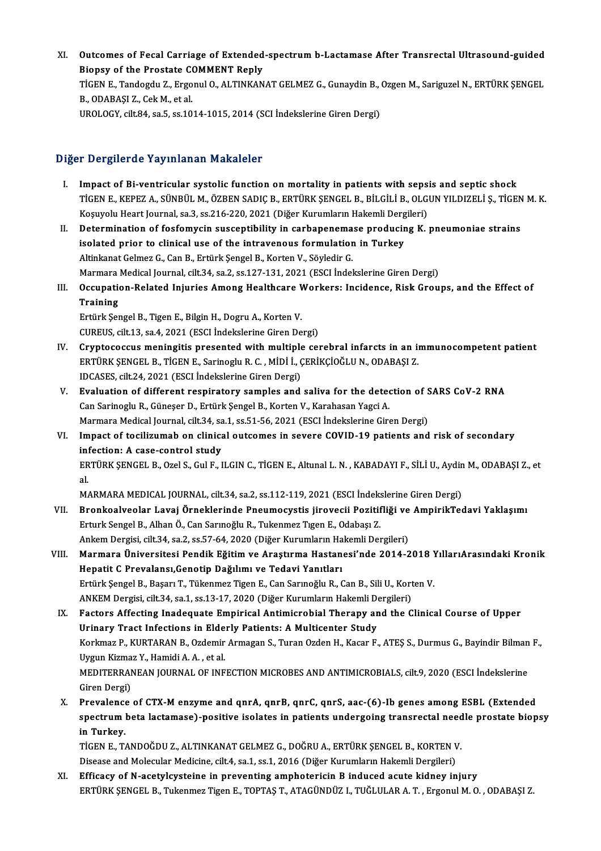XI. Outcomes of Fecal Carriage of Extended-spectrum b-Lactamase After Transrectal Ultrasound-guided<br>Riensy of the Prestate COMMENT Reply **Outcomes of Fecal Carriage of Extended<br>Biopsy of the Prostate COMMENT Reply<br>TicEN E. Tandesdy 7, Exsenyl O, ALTINKAN** Outcomes of Fecal Carriage of Extended-spectrum b-Lactamase After Transrectal Ultrasound-guided<br>Biopsy of the Prostate COMMENT Reply<br>TIGEN E., Tandogdu Z., Ergonul O., ALTINKANAT GELMEZ G., Gunaydin B., Ozgen M., Sariguzel Biopsy of the Prostate COMMENT Reply<br>TİGEN E., Tandogdu Z., Ergonul O., ALTINKANAT GELMEZ G., Gunaydin B., Ozgen M., Sariguzel N., ERTÜRK ŞENGEL<br>B., ODABAŞI Z., Cek M., et al. UROLOGY, cilt.84, sa.5, ss.1014-1015, 2014 (SCI İndekslerine Giren Dergi)

## Diğer Dergilerde Yayınlanan Makaleler

- I. Impact of Bi-ventricular systolic function onmortality in patients with sepsis and septic shock TİGENE.,KEPEZA.,SÜNBÜLM.,ÖZBENSADIÇB.,ERTÜRKŞENGELB.,BİLGİLİB.,OLGUNYILDIZELİ Ş.,TİGENM.K. Impact of Bi-ventricular systolic function on mortality in patients with seps<br>TİGEN E., KEPEZ A., SÜNBÜL M., ÖZBEN SADIÇ B., ERTÜRK ŞENGEL B., BİLGİLİ B., OLG<br>Koşuyolu Heart Journal, sa.3, ss.216-220, 2021 (Diğer Kurumları TIGEN E., KEPEZ A., SÜNBÜL M., ÖZBEN SADIÇ B., ERTÜRK ŞENGEL B., BİLGİLİ B., OLGUN YILDIZELİ Ş., TIGEN<br>Koşuyolu Heart Journal, sa.3, ss.216-220, 2021 (Diğer Kurumların Hakemli Dergileri)<br>II. Determination of fosfomycin sus
- Koşuyolu Heart Journal, sa.3, ss.216-220, 2021 (Diğer Kurumların Hakemli Derg<br>Determination of fosfomycin susceptibility in carbapenemase producin<br>isolated prior to clinical use of the intravenous formulation in Turkey<br>Alt Determination of fosfomycin susceptibility in carbapenema<br>isolated prior to clinical use of the intravenous formulation<br>Altinkanat Gelmez G., Can B., Ertürk Şengel B., Korten V., Söyledir G.<br>Marmare Medical Journal, silt 2 isolated prior to clinical use of the intravenous formulation in Turkey<br>Altinkanat Gelmez G., Can B., Ertürk Şengel B., Korten V., Söyledir G.<br>Marmara Medical Journal, cilt.34, sa.2, ss.127-131, 2021 (ESCI İndekslerine Gir Altinkanat Gelmez G., Can B., Ertürk Şengel B., Korten V., Söyledir G.<br>Marmara Medical Journal, cilt.34, sa.2, ss.127-131, 2021 (ESCI İndekslerine Giren Dergi)<br>III. Occupation-Related Injuries Among Healthcare Workers: Inc
- Marmara<br>Occupation<br>Training<br>Entürk Sot Occupation-Related Injuries Among Healthcare V<br>Training<br>Ertürk Şengel B., Tigen E., Bilgin H., Dogru A., Korten V.<br>CUPEUS, sik 12.50 4.2021 (ESCL Indekslerine Giren De

Training<br>Ertürk Şengel B., Tigen E., Bilgin H., Dogru A., Korten V.<br>CUREUS, cilt.13, sa.4, 2021 (ESCI İndekslerine Giren Dergi)

- IV. Cryptococcus meningitis presented with multiple cerebral infarcts in an immunocompetent patient CUREUS, cilt.13, sa.4, 2021 (ESCI İndekslerine Giren Dergi)<br>Cryptococcus meningitis presented with multiple cerebral infarcts in an in<br>ERTÜRK ŞENGEL B., TİGEN E., Sarinoglu R. C. , MİDİ İ., ÇERİKÇİOĞLU N., ODABAŞI Z.<br>IDCAS Cryptococcus meningitis presented with multiple<br>ERTÜRK ŞENGEL B., TİGEN E., Sarinoglu R. C. , MİDİ İ., (<br>IDCASES, cilt.24, 2021 (ESCI İndekslerine Giren Dergi)<br>Fyalustion of different respiratoru samples and ERTÜRK ŞENGEL B., TİGEN E., Sarinoglu R. C. , MİDİ İ., ÇERİKÇİOĞLU N., ODABAŞI Z.<br>IDCASES, cilt.24, 2021 (ESCI İndekslerine Giren Dergi)<br>V. Evaluation of different respiratory samples and saliva for the detection of SARS C
- IDCASES, cilt.24, 2021 (ESCI İndekslerine Giren Dergi)<br>**Evaluation of different respiratory samples and saliva for the dete**<br>Can Sarinoglu R., Güneşer D., Ertürk Şengel B., Korten V., Karahasan Yagci A.<br>Marmara Medical Jou Evaluation of different respiratory samples and saliva for the detection of S<br>Can Sarinoglu R., Güneşer D., Ertürk Şengel B., Korten V., Karahasan Yagci A.<br>Marmara Medical Journal, cilt.34, sa.1, ss.51-56, 2021 (ESCI İndek Can Sarinoglu R., Güneşer D., Ertürk Şengel B., Korten V., Karahasan Yagci A.<br>Marmara Medical Journal, cilt.34, sa.1, ss.51-56, 2021 (ESCI İndekslerine Giren Dergi)<br>VI. Impact of tocilizumab on clinical outcomes in severe
- Marmara Medical Journal, cilt.34, sa<br>Impact of tocilizumab on clinica<br>infection: A case-control study<br>EPTÜPL SENGEL B. OTALS, Cul E. L Impact of tocilizumab on clinical outcomes in severe COVID-19 patients and risk of secondary<br>infection: A case-control study<br>ERTÜRK ŞENGEL B., Ozel S., Gul F., ILGIN C., TİGEN E., Altunal L. N. , KABADAYI F., SİLİ U., Aydi in!<br>ER<br>al. ERTÜRK ŞENGEL B., Ozel S., Gul F., ILGIN C., TİGEN E., Altunal L. N. , KABADAYI F., SİLİ U., Aydin M., ODABAŞI Z., et<br>al.

- al.<br>MARMARA MEDICAL JOURNAL, cilt.34, sa.2, ss.112-119, 2021 (ESCI İndekslerine Giren Dergi)<br>VII. Bronkoalveolar Lavaj Örneklerinde Pneumocystis jirovecii Pozitifliği ve AmpirikTedavi Yaklaşımı<br>Erturk Sangel B. Alban Ö. Ca MARMARA MEDICAL JOURNAL, cilt.34, sa.2, ss.112-119, 2021 (ESCI İndekslerine Giren Dergi)<br>Bronkoalveolar Lavaj Örneklerinde Pneumocystis jirovecii Pozitifliği ve AmpirikTe<br>Erturk Sengel B., Alhan Ö., Can Sarınoğlu R., Tuken Bronkoalveolar Lavaj Örneklerinde Pneumocystis jirovecii Pozitifliği ve<br>Erturk Sengel B., Alhan Ö., Can Sarınoğlu R., Tukenmez Tıgen E., Odabaşı Z.<br>Ankem Dergisi, cilt.34, sa.2, ss.57-64, 2020 (Diğer Kurumların Hakemli Der Erturk Sengel B., Alhan Ö., Can Sarınoğlu R., Tukenmez Tıgen E., Odabaşı Z.<br>Ankem Dergisi, cilt.34, sa.2, ss.57-64, 2020 (Diğer Kurumların Hakemli Dergileri)<br>VIII. Marmara Üniversitesi Pendik Eğitim ve Araştırma Hastanesi'
- Ankem Dergisi, cilt.34, sa.2, ss.57-64, 2020 (Diğer Kurumların Ha<br>Marmara Üniversitesi Pendik Eğitim ve Araştırma Hastan<br>Hepatit C Prevalansı,Genotip Dağılımı ve Tedavi Yanıtları<br>Ertürk Sengel B. Basarı T. Tükenmez Tigen E Marmara Üniversitesi Pendik Eğitim ve Araştırma Hastanesi'nde 2014-2018 )<br>Hepatit C Prevalansı,Genotip Dağılımı ve Tedavi Yanıtları<br>Ertürk Şengel B., Başarı T., Tükenmez Tigen E., Can Sarınoğlu R., Can B., Sili U., Korten Hepatit C Prevalansı,Genotip Dağılımı ve Tedavi Yanıtları<br>Ertürk Şengel B., Başarı T., Tükenmez Tigen E., Can Sarınoğlu R., Can B., Sili U., Korten V.<br>ANKEM Dergisi, cilt.34, sa.1, ss.13-17, 2020 (Diğer Kurumların Hakemli Ertürk Şengel B., Başarı T., Tükenmez Tigen E., Can Sarınoğlu R., Can B., Sili U., Korten V.<br>ANKEM Dergisi, cilt.34, sa.1, ss.13-17, 2020 (Diğer Kurumların Hakemli Dergileri)<br>IX. Factors Affecting Inadequate Empirical Anti
- ANKEM Dergisi, cilt.34, sa.1, ss.13-17, 2020 (Diğer Kurumların Hakemli De<br>Factors Affecting Inadequate Empirical Antimicrobial Therapy ar<br>Urinary Tract Infections in Elderly Patients: A Multicenter Study<br>Kerlmar B. KURTARA Factors Affecting Inadequate Empirical Antimicrobial Therapy and the Clinical Course of Upper<br>Urinary Tract Infections in Elderly Patients: A Multicenter Study<br>Korkmaz P., KURTARAN B., Ozdemir Armagan S., Turan Ozden H., K Uri<mark>nary Tract Infections in Elde</mark><br>Korkmaz P., KURTARAN B., Ozdemir<br>Uygun Kizmaz Y., Hamidi A. A. , et al.<br>MEDITEPPANEAN IOUPNAL OF INF Korkmaz P., KURTARAN B., Ozdemir Armagan S., Turan Ozden H., Kacar F., ATEŞ S., Durmus G., Bayindir Bilman<br>Uygun Kizmaz Y., Hamidi A. A. , et al.<br>MEDITERRANEAN JOURNAL OF INFECTION MICROBES AND ANTIMICROBIALS, cilt.9, 2020 Uygun Kizmaz Y., Hamidi A. A. , et al.<br>MEDITERRANEAN JOURNAL OF INFECTION MICROBES AND ANTIMICROBIALS, cilt.9, 2020 (ESCI İndekslerine<br>Giren Dergi) MEDITERRANEAN JOURNAL OF INFECTION MICROBES AND ANTIMICROBIALS, cilt.9, 2020 (ESCI Indekslerine<br>Giren Dergi)<br>X. Prevalence of CTX-M enzyme and qnrA, qnrB, qnrC, qnrS, aac-(6)-Ib genes among ESBL (Extended<br>Spectrum bete lec
- Giren Dergi)<br>Prevalence of CTX-M enzyme and qnrA, qnrB, qnrC, qnrS, aac-(6)-Ib genes among ESBL (Extended<br>spectrum beta lactamase)-positive isolates in patients undergoing transrectal needle prostate biopsy<br>in Turkov Prevalence<br>spectrum<br>in Turkey.<br>TICEN E. T. spectrum beta lactamase)-positive isolates in patients undergoing transrectal need<br>in Turkey.<br>TİGEN E., TANDOĞDU Z., ALTINKANAT GELMEZ G., DOĞRU A., ERTÜRK ŞENGEL B., KORTEN V.<br>Dissess and Malagular Madisine, silt 4, sa 1,

in Turkey.<br>TİGEN E., TANDOĞDU Z., ALTINKANAT GELMEZ G., DOĞRU A., ERTÜRK ŞENGEL B., KORTEN V<br>Disease and Molecular Medicine, cilt.4, sa.1, ss.1, 2016 (Diğer Kurumların Hakemli Dergileri)<br>Efficesu of N. 2021 putatejne in pr

TIGEN E., TANDOĞDU Z., ALTINKANAT GELMEZ G., DOĞRU A., ERTÜRK ŞENGEL B., KORTEN V.<br>Disease and Molecular Medicine, cilt.4, sa.1, ss.1, 2016 (Diğer Kurumların Hakemli Dergileri)<br>XI. Efficacy of N-acetylcysteine in preventin Disease and Molecular Medicine, cilt.4, sa.1, ss.1, 2016 (Diğer Kurumların Hakemli Dergileri)<br>Efficacy of N-acetylcysteine in preventing amphotericin B induced acute kidney injury<br>ERTÜRK ŞENGEL B., Tukenmez Tigen E., TOPTA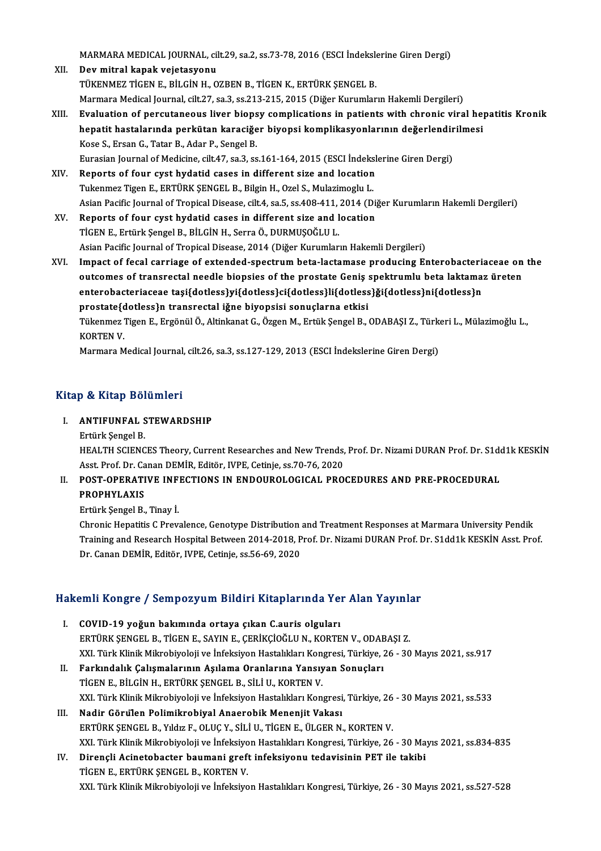MARMARA MEDICAL JOURNAL, cilt.29, sa.2, ss.73-78, 2016 (ESCI İndekslerine Giren Dergi)<br>Dev mitral kanak vejetesyeny

- XI . Devmitral kapak vejetasyonu MARMARA MEDICAL JOURNAL, cilt.29, sa.2, ss.73-78, 2016 (ESCI İndeksle<br>Dev mitral kapak vejetasyonu<br>TÜKENMEZ TİGEN E., BİLGİN H., OZBEN B., TİGEN K., ERTÜRK ŞENGEL B.<br>Marmara Madisəl Journal, silt 27, sə 3, sə 212, 215, 201 XII. Dev mitral kapak vejetasyonu<br>TÜKENMEZ TİGEN E., BİLGİN H., OZBEN B., TİGEN K., ERTÜRK ŞENGEL B.<br>Marmara Medical Journal, cilt.27, sa.3, ss.213-215, 2015 (Diğer Kurumların Hakemli Dergileri) TÜKENMEZ TİGEN E., BİLGİN H., OZBEN B., TİGEN K., ERTÜRK ŞENGEL B.<br>Marmara Medical Journal, cilt.27, sa.3, ss.213-215, 2015 (Diğer Kurumların Hakemli Dergileri)<br>XIII. Evaluation of percutaneous liver biopsy complicatio
- Marmara Medical Journal, cilt.27, sa.3, ss.213-215, 2015 (Diğer Kurumların Hakemli Dergileri)<br>Evaluation of percutaneous liver biopsy complications in patients with chronic viral he<sub>l</sub><br>hepatit hastalarında perkütan karaciğ Kose S., Ersan G., Tatar B., Adar P., Sengel B.<br>Eurasian Journal of Medicine, cilt.47, sa.3, ss.161-164, 2015 (ESCI İndekslerine Giren Dergi) hepatit hastalarında perkütan karaciğer biyopsi komplikasyonlarının değerlendirilmesi
- XIV. Reports of four cyst hydatid cases in different size and location Tukenmez Tigen E., ERTÜRK ŞENGEL B., Bilgin H., Ozel S., Mulazimoglu L. Reports of four cyst hydatid cases in different size and location<br>Tukenmez Tigen E., ERTÜRK ŞENGEL B., Bilgin H., Ozel S., Mulazimoglu L.<br>Asian Pacific Journal of Tropical Disease, cilt.4, sa.5, ss.408-411, 2014 (Diğer Kur
- XV. Reports of four cyst hydatid cases in different size and location Asian Pacific Journal of Tropical Disease, cilt.4, sa.5, ss.408-411,<br>Reports of four cyst hydatid cases in different size and l<br>TİGEN E., Ertürk Şengel B., BİLGİN H., Serra Ö., DURMUŞOĞLU L.<br>Asian Pasifis Journal of Tropis Asian Pacific Journal of Tropical Disease, 2014 (Diğer Kurumların Hakemli Dergileri) TİGEN E., Ertürk Şengel B., BİLGİN H., Serra Ö., DURMUŞOĞLU L.<br>Asian Pacific Journal of Tropical Disease, 2014 (Diğer Kurumların Hakemli Dergileri)<br>XVI. Impact of fecal carriage of extended-spectrum beta-lactamase producin
- Asian Pacific Journal of Tropical Disease, 2014 (Diğer Kurumların Hakemli Dergileri)<br>Impact of fecal carriage of extended-spectrum beta-lactamase producing Enterobacteriaceae on<br>outcomes of transrectal needle biopsies of t Impact of fecal carriage of extended-spectrum beta-lactamase producing Enterobacteria<br>outcomes of transrectal needle biopsies of the prostate Geniş spektrumlu beta laktama:<br>enterobacteriaceae taşi{dotless}yi{dotless}ci{dot outcomes of transrectal needle biopsies of the prostate Geniş :<br>enterobacteriaceae taşi{dotless}yi{dotless}ci{dotless}li{dotless<br>prostate{dotless}n transrectal iğne biyopsisi sonuçlarna etkisi<br>Tükonmas Tisan E. Exsânül Ö. enterobacteriaceae taşi{dotless}yi{dotless}ci{dotless}li{dotless}ği{dotless}ni{dotless}n<br>prostate{dotless}n transrectal iğne biyopsisi sonuçlarna etkisi<br>Tükenmez Tigen E., Ergönül Ö., Altinkanat G., Özgen M., Ertük Şengel prostate{d<br>Tükenmez<br>KORTEN V.<br>Marmara M Tükenmez Tigen E., Ergönül Ö., Altinkanat G., Özgen M., Ertük Şengel B., ODABAŞI Z., Türk<br>KORTEN V.<br>Marmara Medical Journal, cilt.26, sa.3, ss.127-129, 2013 (ESCI İndekslerine Giren Dergi)

Marmara Medical Journal, cilt.26, sa.3, ss.127-129, 2013 (ESCI İndekslerine Giren Dergi)<br>Kitap & Kitap Bölümleri

## itap & Kitap Bölümleri<br>I. ANTIFUNFAL STEWARDSHIP<br>Entürk Songel B Ertürk<br>ANTIFUNFAL S<br>Ertürk Şengel B.<br>HEALTH SCIENC

ANTIFUNFAL STEWARDSHIP<br>Ertürk Şengel B.<br>HEALTH SCIENCES Theory, Current Researches and New Trends, Prof. Dr. Nizami DURAN Prof. Dr. S1dd1k KESKİN<br>Asst. Prof. Dr. Canan DEMin, Editör. WPE. Cetinia.ss 70, 76, 2020. Ertürk Şengel B.<br>HEALTH SCIENCES Theory, Current Researches and New Trends,<br>Asst. Prof. Dr. Canan DEMİR, Editör, IVPE, Cetinje, ss.70-76, 2020<br>POST. ORERATIVE INFECTIONS, IN ENDOUROLOCICAL, PRO HEALTH SCIENCES Theory, Current Researches and New Trends, Prof. Dr. Nizami DURAN Prof. Dr. S1d<br>Asst. Prof. Dr. Canan DEMİR, Editör, IVPE, Cetinje, ss.70-76, 2020<br>II. POST-OPERATIVE INFECTIONS IN ENDOUROLOGICAL PROCEDURES

## Asst. Prof. Dr. Canan DEMİR, Editör, IVPE, Cetinje, ss.70-76, 2020<br>II. POST-OPERATIVE INFECTIONS IN ENDOUROLOGICAL PROCEDURES AND PRE-PROCEDURAL<br>PROPHYLAXIS

ErtürkŞengelB.,Tinay İ.

Chronic Hepatitis C Prevalence, Genotype Distribution and Treatment Responses at Marmara University Pendik Training and Research Hospital Between 2014-2018, Prof. Dr. Nizami DURAN Prof. Dr. S1dd1k KESKİN Asst. Prof. Dr. Canan DEMİR, Editör, IVPE, Cetinje, ss.56-69, 2020

# br. canan Deмik, edilor, ivre, cellije, ss.56-69, 2020<br>Hakemli Kongre / Sempozyum Bildiri Kitaplarında Yer Alan Yayınlar

- akemli Kongre / Sempozyum Bildiri Kitaplarında Ye:<br>I. COVID-19 yoğun bakımında ortaya çıkan C.auris olguları<br>ERTÜRK SENCEL B. TİCEN E. SAVIN E. CERİKÇİQĞLUN, KORTE I. COVID-19 yoğun bakımında ortaya çıkan C.auris olguları<br>ERTÜRK ŞENGEL B., TİGEN E., SAYIN E., ÇERİKÇİOĞLU N., KORTEN V., ODABAŞI Z. XXI.TürkKlinikMikrobiyolojive İnfeksiyonHastalıklarıKongresi,Türkiye,26 -30Mayıs2021, ss.917 ERTÜRK ŞENGEL B., TİGEN E., SAYIN E., ÇERİKÇİOĞLU N., KORTEN V., ODAE<br>XXI. Türk Klinik Mikrobiyoloji ve İnfeksiyon Hastalıkları Kongresi, Türkiye, 2<br>II. Barkındalık Çalışmalarının Aşılama Oranlarına Yansıyan Sonuçları<br>TİCE XXI. Türk Klinik Mikrobiyoloji ve İnfeksiyon Hastalıkları Kon<br>Farkındalık Çalışmalarının Aşılama Oranlarına Yansıy<br>TİGEN E., BİLGİN H., ERTÜRK ŞENGEL B., SİLİ U., KORTEN V.<br>YYL Türk Klinik Milrobiyoloji ve İnfeksiyon Hasta
- TİGEN E., BİLGİN H., ERTÜRK ŞENGEL B., SİLİ U., KORTEN V.<br>XXI. Türk Klinik Mikrobiyoloji ve İnfeksiyon Hastalıkları Kongresi, Türkiye, 26 30 Mayıs 2021, ss.533
- III. Nadir Görülen Polimikrobiyal Anaerobik Menenjit Vakası ERTÜRK ŞENGEL B., Yıldız F., OLUÇ Y., SİLİ U., TİGEN E., ÜLGER N., KORTEN V. XXI. Türk Klinik Mikrobiyoloji ve İnfeksiyon Hastalıkları Kongresi, Türkiye, 26 - 30 Mayıs 2021, ss.834-835 ERTÜRK ŞENGEL B., Yıldız F., OLUÇ Y., SİLİ U., TİGEN E., ÜLGER N., KORTEN V.<br>XXI. Türk Klinik Mikrobiyoloji ve İnfeksiyon Hastalıkları Kongresi, Türkiye, 26 - 30 Ma<br>IV. Dirençli Acinetobacter baumani greft infeksiyonu teda
- XXI. Türk Klinik Mikrobiyoloji ve İnfeksiyo<br>Dirençli Acinetobacter baumani greft<br>TİGEN E., ERTÜRK ŞENGEL B., KORTEN V.<br>YYL Türk Klinik Mikrobiyoloji ve İnfeksiyo TİGEN E., ERTÜRK ŞENGEL B., KORTEN V.<br>XXI. Türk Klinik Mikrobiyoloji ve İnfeksiyon Hastalıkları Kongresi, Türkiye, 26 - 30 Mayıs 2021, ss.527-528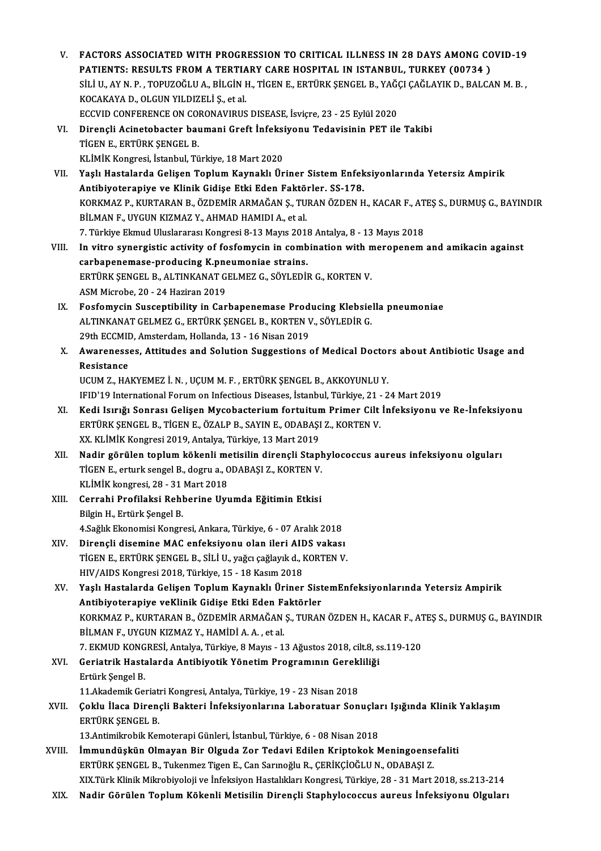- V. FACTORS ASSOCIATED WITH PROGRESSION TO CRITICAL ILLNESS IN 28 DAYS AMONG COVID-19 FACTORS ASSOCIATED WITH PROGRESSION TO CRITICAL ILLNESS IN 28 DAYS AMONG CONTRIENTS: RESULTS FROM A TERTIARY CARE HOSPITAL IN ISTANBUL, TURKEY (00734 ) SİLİ U., AY N. P. , TOPUZOĞLU A., BİLGİN H., TİGEN E., ERTÜRK ŞENGEL B., YAĞÇI ÇAĞLAYIK D., BALCAN M. B. ,<br>KOCAKAYA D., OLGUN YILDIZELİ Ş., et al. PATIENTS: RESULTS FROM A TERTIA<br>SİLİ U., AY N. P. , TOPUZOĞLU A., BİLGİN I<br>KOCAKAYA D., OLGUN YILDIZELİ Ş., et al.<br>ECCUID CONEERENCE ON CORONAVIRUS SİLİ U., AY N. P. , TOPUZOĞLU A., BİLGİN H., TİGEN E., ERTÜRK ŞENGEL B., YAĞ(<br>KOCAKAYA D., OLGUN YILDIZELİ Ş., et al.<br>ECCVID CONFERENCE ON CORONAVIRUS DISEASE, İsviçre, 23 - 25 Eylül 2020<br>Dirangli Asinatabastar baymani Cra KOCAKAYA D., OLGUN YILDIZELİ Ş., et al.<br>ECCVID CONFERENCE ON CORONAVIRUS DISEASE, İsviçre, 23 - 25 Eylül 2020<br>VI. Dirençli Acinetobacter baumani Greft İnfeksiyonu Tedavisinin PET ile Takibi<br>TİCEN E. ERTÜRK SENCEL B
- ECCVID CONFERENCE ON COL<br>Dirençli Acinetobacter bat<br>TİGEN E., ERTÜRK ŞENGEL B.<br>VI İMİV VORTESSİ İstanbul Tü Dirençli Acinetobacter baumani Greft İnfeksi<br>TİGEN E., ERTÜRK ŞENGEL B.<br>KLİMİK Kongresi, İstanbul, Türkiye, 18 Mart 2020<br>Yaslı Hastalarda Calisan Tanlum Kaynaklı Ür
- TİGEN E., ERTÜRK ŞENGEL B.<br>KLİMİK Kongresi, İstanbul, Türkiye, 18 Mart 2020<br>VII. Yaşlı Hastalarda Gelişen Toplum Kaynaklı Üriner Sistem Enfeksiyonlarında Yetersiz Ampirik<br>Antibiyoteraniya ve Klinik Gidise Etki Eden Fek KLİMİK Kongresi, İstanbul, Türkiye, 18 Mart 2020<br>Yaşlı Hastalarda Gelişen Toplum Kaynaklı Üriner Sistem Enfek<br>Antibiyoterapiye ve Klinik Gidişe Etki Eden Faktörler. SS-178.<br>KORKMAZ B. KURTARAN B. ÖZDEMİR ARMAĞAN S. TURAN Ö Yaşlı Hastalarda Gelişen Toplum Kaynaklı Üriner Sistem Enfeksiyonlarında Yetersiz Ampirik<br>Antibiyoterapiye ve Klinik Gidişe Etki Eden Faktörler. SS-178.<br>KORKMAZ P., KURTARAN B., ÖZDEMİR ARMAĞAN Ş., TURAN ÖZDEN H., KACAR F. Antibiyoterapiye ve Klinik Gidişe Etki Eden Faktörler. SS-178.<br>KORKMAZ P., KURTARAN B., ÖZDEMİR ARMAĞAN Ş., TURAN ÖZDEN H., KACAR F., AT<br>BİLMAN F., UYGUN KIZMAZ Y., AHMAD HAMIDI A., et al.<br>7. Türkiye Ekmud Uluslararası Kon KORKMAZ P., KURTARAN B., ÖZDEMİR ARMAĞAN Ş., TURAN ÖZDEN H., KACAR F., AT<br>BİLMAN F., UYGUN KIZMAZ Y., AHMAD HAMIDI A., et al.<br>7. Türkiye Ekmud Uluslararası Kongresi 8-13 Mayıs 2018 Antalya, 8 - 13 Mayıs 2018<br>In uitre euner BİLMAN F., UYGUN KIZMAZ Y., AHMAD HAMIDI A., et al.<br>7. Türkiye Ekmud Uluslararası Kongresi 8-13 Mayıs 2018 Antalya, 8 - 13 Mayıs 2018<br>VIII. 1 In vitro synergistic activity of fosfomycin in combination with meropenem and am
- 7. Türkiye Ekmud Uluslararası Kongresi 8-13 Mayıs 2011<br>In vitro synergistic activity of fosfomycin in comb<br>carbapenemase-producing K.pneumoniae strains.<br>EPTÜPK SENCEL B. ALTINKANAT CELMEZ C. SÖVLEDİL In vitro synergistic activity of fosfomycin in combination with n<br>carbapenemase-producing K.pneumoniae strains.<br>ERTÜRK ŞENGEL B., ALTINKANAT GELMEZ G., SÖYLEDİR G., KORTEN V.<br>ASM Mianaba 20, 24 Hariran 2019. carbapenemase-producing K.pneumoniae strains.<br>ERTÜRK ŞENGEL B., ALTINKANAT GELMEZ G., SÖYLEDİR G., KORTEN V.<br>ASM Microbe, 20 - 24 Haziran 2019
- IX. Fosfomycin Susceptibility in Carbapenemase Producing Klebsiella pneumoniae ASM Microbe, 20 - 24 Haziran 2019<br>Fosfomycin Susceptibility in Carbapenemase Producing Klebsie<br>ALTINKANAT GELMEZ G., ERTÜRK ŞENGEL B., KORTEN V., SÖYLEDİR G.<br>20th ECCMID Amsterdam Hallanda 12, 16 Nisan 2010 Fosfomycin Susceptibility in Carbapenemase Prod<br>ALTINKANAT GELMEZ G., ERTÜRK ŞENGEL B., KORTEN V<br>29th ECCMID, Amsterdam, Hollanda, 13 - 16 Nisan 2019<br>Awarenesses, Attitudes and Salutian Sussestions 29th ECCMID, Amsterdam, Hollanda, 13 - 16 Nisan 2019
- X. Awarenesses, Attitudes and Solution Suggestions of Medical Doctors about Antibiotic Usage and<br>Resistance

UCUM Z., HAKYEMEZ İ. N., UÇUMM.F., ERTÜRK ŞENGEL B., AKKOYUNLUY. Resistance<br>UCUM Z., HAKYEMEZ İ. N. , UÇUM M. F. , ERTÜRK ŞENGEL B., AKKOYUNLU Y.<br>IFID'19 International Forum on Infectious Diseases, İstanbul, Türkiye, 21 - 24 Mart 2019<br>Kodi Jamğı Sanrası Celisen Mysebasterium fortujtum P

- XI. Kedi Isırığı Sonrası Gelişen Mycobacterium fortuitum Primer Cilt İnfeksiyonu ve Re-İnfeksiyonu IFID'19 International Forum on Infectious Diseases, İstanbul, Türkiye, 21 -<br>Kedi Isırığı Sonrası Gelişen Mycobacterium fortuitum Primer Cilt<br>ERTÜRK ŞENGEL B., TİGEN E., ÖZALP B., SAYIN E., ODABAŞI Z., KORTEN V.<br>YY KLİMİK K ERTÜRK ŞENGEL B., TİGEN E., ÖZALP B., SAYIN E., ODABAŞI Z., KORTEN V.<br>XX. KLİMİK Kongresi 2019, Antalya, Türkiye, 13 Mart 2019
- XII. Nadir görülen toplum kökenli metisilin dirençli Staphylococcus aureus infeksiyonu olguları XX. KLİMİK Kongresi 2019, Antalya, Türkiye, 13 Mart 2019<br>Nadir görülen toplum kökenli metisilin dirençli Stapl<br>TİGEN E., erturk sengel B., dogru a., ODABAŞI Z., KORTEN V.<br>KLİMİK kongresi 28., 21 Mart 2018 Nadir görülen toplum kökenli me<br>TİGEN E., erturk sengel B., dogru a., C<br>KLİMİK kongresi, 28 - 31 Mart 2018<br>Corrabi Prefileksi Bebberine Hu KLİMİK kongresi, 28 - 31 Mart 2018
- XIII. Cerrahi Profilaksi Rehberine Uyumda Eğitimin Etkisi<br>Bilgin H., Ertürk Şengel B. Cerrahi Profilaksi Rehberine Uyumda Eğitimin Etkisi<br>Bilgin H., Ertürk Şengel B.<br>4.Sağlık Ekonomisi Kongresi, Ankara, Türkiye, 6 - 07 Aralık 2018<br>Dinangli disemine MAC enfeksiyenu olan ileni AIDS veksel Bilgin H., Ertürk Şengel B.<br>4.Sağlık Ekonomisi Kongresi, Ankara, Türkiye, 6 - 07 Aralık 2018<br>XIV. Dirençli disemine MAC enfeksiyonu olan ileri AIDS vakası<br>TİCEN E. ERTÜRK SENCEL B. SİLİ U. YAĞE SAĞRIRLA, KORTEN V.

- 4.Sağlık Ekonomisi Kongresi, Ankara, Türkiye, 6 07 Aralık 2018<br>Dirençli disemine MAC enfeksiyonu olan ileri AIDS vakası<br>TİGEN E., ERTÜRK ŞENGEL B., SİLİ U., yağcı çağlayık d., KORTEN V.<br>HIV (AIDS Kongresi 2019, Türkiye, XIV. Dirençli disemine MAC enfeksiyonu olan ileri AIDS vakası<br>TİGEN E., ERTÜRK ŞENGEL B., SİLİ U., yağcı çağlayık d., KORTEN V.<br>HIV/AIDS Kongresi 2018, Türkiye, 15 - 18 Kasım 2018
- XV. Yaşlı Hastalarda Gelişen ToplumKaynaklı Üriner SistemEnfeksiyonlarında Yetersiz Ampirik HIV/AIDS Kongresi 2018, Türkiye, 15 - 18 Kasım 2018<br>Yaşlı Hastalarda Gelişen Toplum Kaynaklı Üriner Sist<br>Antibiyoterapiye veKlinik Gidişe Etki Eden Faktörler<br>KORKMAZ B. KURTARAN B. ÖZDEMİR ARMAĞAN S. TURAN Yaşlı Hastalarda Gelişen Toplum Kaynaklı Üriner SistemEnfeksiyonlarında Yetersiz Ampirik<br>Antibiyoterapiye veKlinik Gidişe Etki Eden Faktörler<br>KORKMAZ P., KURTARAN B., ÖZDEMİR ARMAĞAN Ş., TURAN ÖZDEN H., KACAR F., ATEŞ S., Antibiyoterapiye veKlinik Gidişe Etki Eden F.<br>KORKMAZ P., KURTARAN B., ÖZDEMİR ARMAĞAN<br>BİLMAN F., UYGUN KIZMAZ Y., HAMİDİ A. A. , et al.<br>7. EKMUD KONCPESİ, Antalya Türkiye 8 Mayıs , 1 KORKMAZ P., KURTARAN B., ÖZDEMİR ARMAĞAN Ş., TURAN ÖZDEN H., KACAR F., AT<br>BİLMAN F., UYGUN KIZMAZ Y., HAMİDİ A. A. , et al.<br>7. EKMUD KONGRESİ, Antalya, Türkiye, 8 Mayıs - 13 Ağustos 2018, cilt.8, ss.119-120<br>Coriatrik Hasta
- BİLMAN F., UYGUN KIZMAZ Y., HAMİDİ A. A. , et al.<br>7. EKMUD KONGRESİ, Antalya, Türkiye, 8 Mayıs 13 Ağustos 2018, cilt.8, s.<br>XVI. Geriatrik Hastalarda Antibiyotik Yönetim Programının Gerekliliği 7. EKMUD KONGRESİ, Antalya, Türkiye, 8 Mayıs - 13 Ağustos 2018, cilt.8, ss.119-120<br>Geriatrik Hastalarda Antibiyotik Yönetim Programının Gerekliliği<br>Ertürk Şengel B. Geriatrik Hastalarda Antibiyotik Yönetim Programının Gerekl<br>Ertürk Şengel B.<br>11.Akademik Geriatri Kongresi, Antalya, Türkiye, 19 - 23 Nisan 2018<br>Coklu İlasa Diranali Baktari İnfoksiyanlarına Labaratyar San

## Ertürk Şengel B.<br>11.Akademik Geriatri Kongresi, Antalya, Türkiye, 19 - 23 Nisan 2018<br>XVII. Çoklu İlaca Dirençli Bakteri İnfeksiyonlarına Laboratuar Sonuçları Işığında Klinik Yaklaşım<br>FRTÜRK SENCEL B 11.Akademik Geriatri Kongresi, Antalya, Türkiye, 19 - 23 Nisan 2018<br>Çoklu İlaca Dirençli Bakteri İnfeksiyonlarına Laboratuar Sonuçla<br>ERTÜRK ŞENGEL B.<br>13.Antimikrobik Kemoterapi Günleri, İstanbul, Türkiye, 6 - 08 Nisan 2018 Çoklu İlaca Dirençli Bakteri İnfeksiyonlarına Laboratuar Sonuçla:<br>ERTÜRK ŞENGEL B.<br>13.Antimikrobik Kemoterapi Günleri, İstanbul, Türkiye, 6 - 08 Nisan 2018<br>İmmundüskün Olmeyan Bin Olsuda Zer Tedevi Edilen Krinteksek A

- ERTÜRK ŞENGEL B.<br>13.Antimikrobik Kemoterapi Günleri, İstanbul, Türkiye, 6 08 Nisan 2018<br>XVIII. İmmundüşkün Olmayan Bir Olguda Zor Tedavi Edilen Kriptokok Meningoensefaliti<br>FREJİRK SENGEL B. Tukanmaz Tizan E. Can Sannağlu 13.Antimikrobik Kemoterapi Günleri, İstanbul, Türkiye, 6 - 08 Nisan 2018<br>İmmundüşkün Olmayan Bir Olguda Zor Tedavi Edilen Kriptokok Meningoense<br>ERTÜRK ŞENGEL B., Tukenmez Tigen E., Can Sarınoğlu R., ÇERİKÇİOĞLU N., ODABAŞI ERTÜRK ŞENGEL B., Tukenmez Tigen E., Can Sarınoğlu R., ÇERİKÇİOĞLU N., ODABAŞI Z.<br>XIX.Türk Klinik Mikrobiyoloji ve İnfeksiyon Hastalıkları Kongresi, Türkiye, 28 - 31 Mart 2018, ss.213-214
- XIX. Nadir Görülen Toplum Kökenli Metisilin Dirençli Staphylococcus aureus İnfeksiyonu Olguları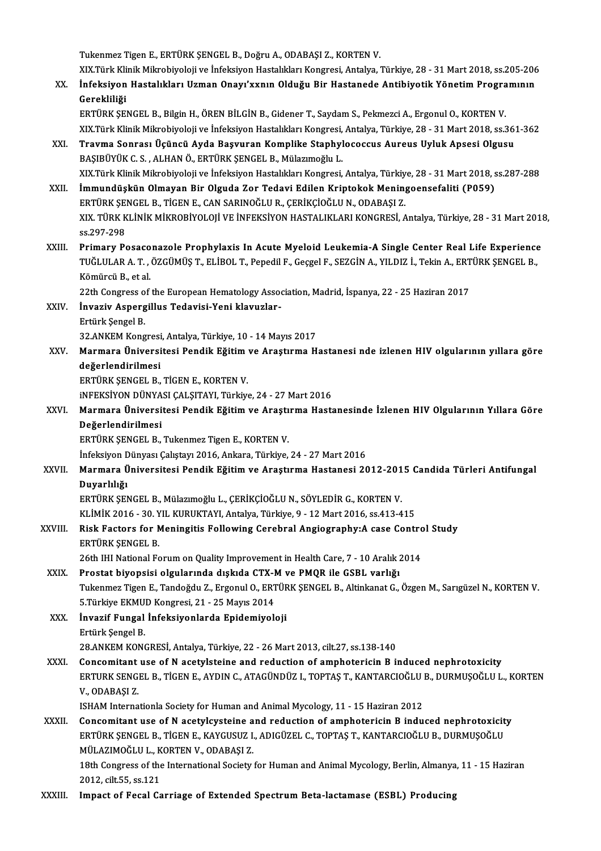Tukenmez Tigen E., ERTÜRK ŞENGEL B., Doğru A., ODABAŞI Z., KORTEN V.

Tukenmez Tigen E., ERTÜRK ŞENGEL B., Doğru A., ODABAŞI Z., KORTEN V.<br>XIX.Türk Klinik Mikrobiyoloji ve İnfeksiyon Hastalıkları Kongresi, Antalya, Türkiye, 28 - 31 Mart 2018, ss.205-206<br>İnfeksiyon Hastalıkları Haman Onavı'yu Tukenmez Tigen E., ERTÜRK ŞENGEL B., Doğru A., ODABAŞI Z., KORTEN V.<br>XIX.Türk Klinik Mikrobiyoloji ve İnfeksiyon Hastalıkları Kongresi, Antalya, Türkiye, 28 - 31 Mart 2018, ss.205-206<br>Canakliliği

XIX.Türk Kli<br>İnfeksiyon<br>Gerekliliği<br>EPTÜPK SE İnfeksiyon Hastalıkları Uzman Onayı'xxnın Olduğu Bir Hastanede Antibiyotik Yönetim Progra<br>Gerekliliği<br>ERTÜRK ŞENGEL B., Bilgin H., ÖREN BİLGİN B., Gidener T., Saydam S., Pekmezci A., Ergonul O., KORTEN V.<br>YIV Türk Klinik M

Gerekliliği<br>XIX.Türk ŞENGEL B., Bilgin H., ÖREN BİLGİN B., Gidener T., Saydam S., Pekmezci A., Ergonul O., KORTEN V.<br>XIX.Türk Klinik Mikrobiyoloji ve İnfeksiyon Hastalıkları Kongresi, Antalya, Türkiye, 28 - 31 Mart 2018, s ERTÜRK ŞENGEL B., Bilgin H., ÖREN BİLGİN B., Gidener T., Saydam S., Pekmezci A., Ergonul O., KORTEN V.<br>XIX.Türk Klinik Mikrobiyoloji ve İnfeksiyon Hastalıkları Kongresi, Antalya, Türkiye, 28 - 31 Mart 2018, ss.36<br>XXI.

- XIX.Türk Klinik Mikrobiyoloji ve İnfeksiyon Hastalıkları Kongresi,<br>Travma Sonrası Üçüncü Ayda Başvuran Komplike Staphyl<br>BAŞIBÜYÜK C. S. , ALHAN Ö., ERTÜRK ŞENGEL B., Mülazımoğlu L.<br>YIV Türk Klinik Mikrobiyoloji ve İnfeksiy BAŞIBÜYÜK C. S. , ALHAN Ö., ERTÜRK ŞENGEL B., Mülazımoğlu L.<br>XIX.Türk Klinik Mikrobiyoloji ve İnfeksiyon Hastalıkları Kongresi, Antalya, Türkiye, 28 - 31 Mart 2018, ss.287-288 BAŞIBÜYÜK C. S. , ALHAN Ö., ERTÜRK ŞENGEL B., Mülazımoğlu L.<br>XIX.Türk Klinik Mikrobiyoloji ve İnfeksiyon Hastalıkları Kongresi, Antalya, Türkiye, 28 - 31 Mart 2018, s<br>XXII. İmmundüşkün Olmayan Bir Olguda Zor Tedavi Edi
- XIX.Türk Klinik Mikrobiyoloji ve İnfeksiyon Hastalıkları Kongresi, Antalya, Türkiy<br>İmmundüşkün Olmayan Bir Olguda Zor Tedavi Edilen Kriptokok Menin<sub>i</sub><br>ERTÜRK ŞENGEL B., TİGEN E., CAN SARINOĞLU R., ÇERİKÇİOĞLU N., ODABAŞI Z İmmundüşkün Olmayan Bir Olguda Zor Tedavi Edilen Kriptokok Meningoensefaliti (P059)<br>ERTÜRK ŞENGEL B., TİGEN E., CAN SARINOĞLU R., ÇERİKÇİOĞLU N., ODABAŞI Z.<br>XIX. TÜRK KLİNİK MİKROBİYOLOJİ VE İNFEKSİYON HASTALIKLARI KONGRES ERTÜRK ŞENGEL B., TİGEN E., CAN SARINOĞLU R., ÇERİKÇİOĞLU N., ODABAŞI Z.<br>XIX. TÜRK KLİNİK MİKROBİYOLOJİ VE İNFEKSİYON HASTALIKLARI KONGRESİ, Antalya, Türkiye, 28 - 31 Mart 2018,<br>ss.297-298 XIX. TÜRK KLİNİK MİKROBİYOLOJİ VE İNFEKSİYON HASTALIKLARI KONGRESİ, Antalya, Türkiye, 28 - 31 Mart 2018<br>ss.297-298<br>XXIII. Primary Posaconazole Prophylaxis In Acute Myeloid Leukemia-A Single Center Real Life Experience<br>TUĞL
- ss.297-298<br>Primary Posaconazole Prophylaxis In Acute Myeloid Leukemia-A Single Center Real Life Experience<br>TUĞLULAR A. T. , ÖZGÜMÜŞ T., ELİBOL T., Pepedil F., Geçgel F., SEZGİN A., YILDIZ İ., Tekin A., ERTÜRK ŞENGEL B<br>Kömü Pri<mark>mary Posaco</mark><br>TUĞLULAR A. T. ,<br>Kömürcü B., et al.<br><sup>22th</sup> Congress of TUĞLULAR A. T. , ÖZGÜMÜŞ T., ELİBOL T., Pepedil F., Geçgel F., SEZGİN A., YILDIZ İ., Tekin A., ERTÜRK ŞENGEL B.,<br>Kömürcü B., et al.

22th Congress of the European Hematology Association, Madrid, İspanya, 22 - 25 Haziran 2017

XXIV. İnvaziv Aspergillus Tedavisi-Yeni klavuzlar-<br>Ertürk Şengel B. İnvaziv Aspergillus Tedavisi-Yeni klavuzlar-<br>Ertürk Şengel B.<br>32.ANKEM Kongresi, Antalya, Türkiye, 10 - 14 Mayıs 2017<br>Marmara Üniversitesi Bandik Eğitim ve Anastuma H

XXV. Marmara Üniversitesi Pendik Eğitim ve Araştırma Hastanesi nde izlenen HIV olgularının yıllara göre<br>değerlendirilmesi 32.ANKEM Kongresi<br>Marmara Üniversi<br>değerlendirilmesi<br>EPTÜPK SENCEL B değerlendirilmesi<br>ERTÜRK ŞENGEL B., TİGEN E., KORTEN V.<br>iNFEKSİYON DÜNYASI ÇALŞITAYI, Türkiye, 24 - 27 Mart 2016<br>Marmara Üniversitesi Bandik Fğitim ve Arastırma Hastı

ERTÜRK ŞENGEL B., TİGEN E., KORTEN V.

ERTÜRK ŞENGEL B., TİGEN E., KORTEN V.<br>iNFEKSİYON DÜNYASI ÇALŞITAYI, Türkiye, 24 - 27 Mart 2016<br>XXVI. Marmara Üniversitesi Pendik Eğitim ve Araştırma Hastanesinde İzlenen HIV Olgularının Yıllara Göre<br>Değerlendirilmesi iNFEKSİYON DÜNYA<br>Marmara Üniversi<br>Değerlendirilmesi<br>EPTÜPK SENCEL B Marmara Üniversitesi Pendik Eğitim ve Araştı<br>Değerlendirilmesi<br>ERTÜRK ŞENGEL B., Tukenmez Tigen E., KORTEN V.<br>İnfeksiven Dünyası Celistavı 2016, Ankara Türkiye. De<mark>ğerlendirilmesi</mark><br>ERTÜRK ŞENGEL B., Tukenmez Tigen E., KORTEN V.<br>İnfeksiyon Dünyası Çalıştayı 2016, Ankara, Türkiye, 24 - 27 Mart 2016

## ERTÜRK ŞENGEL B., Tukenmez Tigen E., KORTEN V.<br>İnfeksiyon Dünyası Çalıştayı 2016, Ankara, Türkiye, 24 - 27 Mart 2016<br>XXVII. Marmara Üniversitesi Pendik Eğitim ve Araştırma Hastanesi 2012-2015 Candida Türleri Antifungal İnfeksiyon D<br>Marmara Ü<br>Duyarlılığı<br>EPTÜPK SEN Marmara Üniversitesi Pendik Eğitim ve Araştırma Hastanesi 2012-201<br>Duyarlılığı<br>ERTÜRK ŞENGEL B., Mülazımoğlu L., ÇERİKÇİOĞLU N., SÖYLEDİR G., KORTEN V.<br>11 Mik 2016 - 20 YU KURUKTAYL Antakıa Türkiye 9 - 12 Mart 2016 se 413-Duyarlılığı<br>ERTÜRK ŞENGEL B., Mülazımoğlu L., ÇERİKÇİOĞLU N., SÖYLEDİR G., KORTEN V.<br>KLİMİK 2016 - 30. YIL KURUKTAYI, Antalya, Türkiye, 9 - 12 Mart 2016, ss.413-415<br>Bisk Fostors for Moningitis Following Corebral Angiograph

ERTÜRK ŞENGEL B., Mülazımoğlu L., ÇERİKÇİOĞLU N., SÖYLEDİR G., KORTEN V.<br>KLİMİK 2016 - 30. YIL KURUKTAYI, Antalya, Türkiye, 9 - 12 Mart 2016, ss.413-415<br>XXVIII. Risk Factors for Meningitis Following Cerebral Angiography:A KLİMİK 2016 - 30. Y<br>Risk Factors for N<br>ERTÜRK ŞENGEL B.<br>26th III National Eq Risk Factors for Meningitis Following Cerebral Angiography:A case Control Study<br>ERTÜRK ŞENGEL B.<br>26th IHI National Forum on Quality Improvement in Health Care, 7 - 10 Aralık 2014

XXIX. Prostat biyopsisi olgularında dışkıda CTX-M ve PMQR ile GSBL varlığı Tukenmez Tigen E., Tandoğdu Z., Ergonul O., ERTÜRK ŞENGEL B., Altinkanat G., Özgen M., Sarıgüzel N., KORTEN V. Prostat biyopsisi olgularında dışkıda CTX-I<br>Tukenmez Tigen E., Tandoğdu Z., Ergonul O., ERT<br>5.Türkiye EKMUD Kongresi, 21 - 25 Mayıs 2014<br>İnvasif Eungal İnfoksiyonlarda Enidamiyalı Tukenmez Tigen E., Tandoğdu Z., Ergonul O., ERTÜF<br>5.Türkiye EKMUD Kongresi, 21 - 25 Mayıs 2014<br>XXX. İnvazif Fungal İnfeksiyonlarda Epidemiyoloji<br>Frijirk Songal P

5.Türkiye EKMU<br>İ<mark>nvazif Fungal</mark><br>Ertürk Şengel B.<br>29 ANKEM KONG İnvazif Fungal İnfeksiyonlarda Epidemiyoloji<br>Ertürk Şengel B.<br>28.ANKEM KONGRESİ, Antalya, Türkiye, 22 - 26 Mart 2013, cilt.27, ss.138-140

Ertürk Şengel B.<br>28.ANKEM KONGRESİ, Antalya, Türkiye, 22 - 26 Mart 2013, cilt.27, ss.138-140<br>XXXI. Concomitant use of N acetylsteine and reduction of amphotericin B induced nephrotoxicity<br>ERTURK SENGEL B. TİCEN E. AVDIN G. 28.ANKEM KONGRESİ, Antalya, Türkiye, 22 - 26 Mart 2013, cilt.27, ss.138-140<br>Concomitant use of N acetylsteine and reduction of amphotericin B induced nephrotoxicity<br>ERTURK SENGEL B., TİGEN E., AYDIN C., ATAGÜNDÜZ I., TOPTA Concomitant<br>ERTURK SENGI<br>V., ODABAŞI Z.<br>ISHAM Interna ERTURK SENGEL B., TİGEN E., AYDIN C., ATAGÜNDÜZ I., TOPTAŞ T., KANTARCIOĞLU !<br>V., ODABAŞI Z.<br>ISHAM Internationla Society for Human and Animal Mycology, 11 - 15 Haziran 2012<br>Concomitant use of N asetylsysteine and nodustion V., ODABAŞI Z.<br>ISHAM Internationla Society for Human and Animal Mycology, 11 - 15 Haziran 2012<br>XXXII. Concomitant use of N acetylcysteine and reduction of amphotericin B induced nephrotoxicity

ISHAM Internationla Society for Human and Animal Mycology, 11 - 15 Haziran 2012<br>Concomitant use of N acetylcysteine and reduction of amphotericin B induced nephrotoxicit<br>ERTÜRK ŞENGEL B., TİGEN E., KAYGUSUZ I., ADIGÜZEL C. Concomitant use of N acetylcysteine a<br>ERTÜRK ŞENGEL B., TİGEN E., KAYGUSUZ I.<br>MÜLAZIMOĞLU L., KORTEN V., ODABAŞI Z.<br>18th Congress of the International Society. ERTÜRK ŞENGEL B., TİGEN E., KAYGUSUZ I., ADIGÜZEL C., TOPTAŞ T., KANTARCIOĞLU B., DURMUŞOĞLU<br>MÜLAZIMOĞLU L., KORTEN V., ODABAŞI Z.<br>18th Congress of the International Society for Human and Animal Mycology, Berlin, Almanya,

MÜLAZIMOĞLU L., K<br>18th Congress of the<br>2012, cilt.55, ss.121<br>Imnast of Essal Ca 18th Congress of the International Society for Human and Animal Mycology, Berlin, Almanya, 11 - 15 Haziran<br>2012, cilt.55, ss.121<br>XXXIII. Impact of Fecal Carriage of Extended Spectrum Beta-lactamase (ESBL) Producing